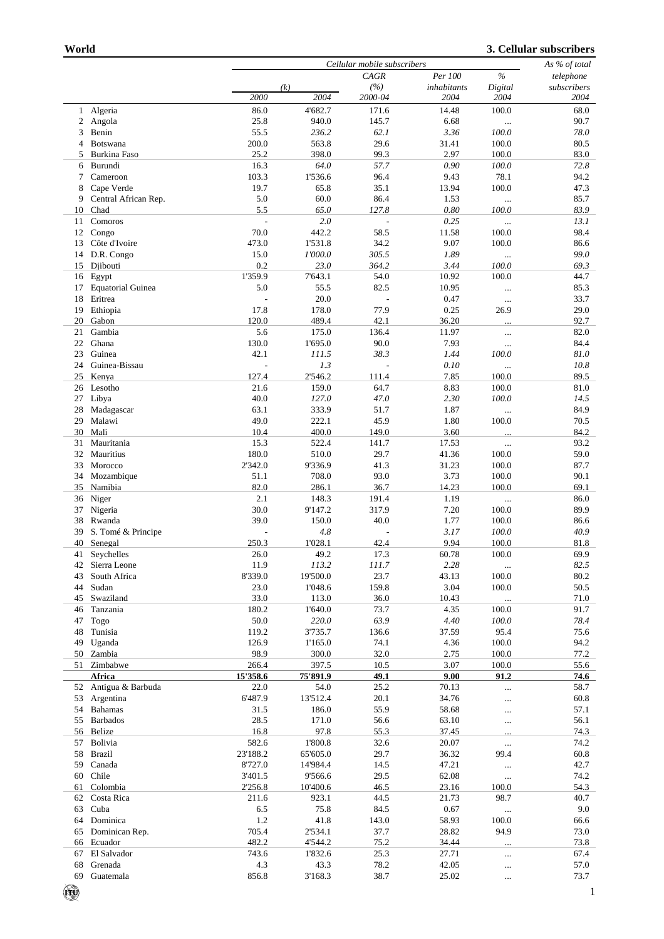## **3. Cellular subscribers**

|              |                          | Cellular mobile subscribers |          |                |             |           | As % of total |
|--------------|--------------------------|-----------------------------|----------|----------------|-------------|-----------|---------------|
|              |                          |                             |          | CAGR           | Per 100     | $\%$      | telephone     |
|              |                          |                             | (k)      | (%)            | inhabitants | Digital   | subscribers   |
|              |                          | 2000                        | 2004     | 2000-04        | 2004        | 2004      | 2004          |
|              |                          |                             |          |                |             |           |               |
| $\mathbf{1}$ | Algeria                  | 86.0                        | 4'682.7  | 171.6          | 14.48       | 100.0     | 68.0          |
| 2            | Angola                   | 25.8                        | 940.0    | 145.7          | 6.68        | $\cdots$  | 90.7          |
| 3            | Benin                    | 55.5                        | 236.2    | 62.1           | 3.36        | 100.0     | 78.0          |
| 4            | Botswana                 | 200.0                       | 563.8    | 29.6           | 31.41       | 100.0     | 80.5          |
| 5            | <b>Burkina Faso</b>      | 25.2                        | 398.0    | 99.3           | 2.97        | 100.0     | 83.0          |
|              |                          |                             |          |                |             |           |               |
| 6            | Burundi                  | 16.3                        | 64.0     | 57.7           | 0.90        | 100.0     | 72.8          |
| 7            | Cameroon                 | 103.3                       | 1'536.6  | 96.4           | 9.43        | 78.1      | 94.2          |
| 8            | Cape Verde               | 19.7                        | 65.8     | 35.1           | 13.94       | 100.0     | 47.3          |
| 9            | Central African Rep.     | 5.0                         | 60.0     | 86.4           | 1.53        | $\ddotsc$ | 85.7          |
| 10           | Chad                     | 5.5                         | 65.0     | 127.8          | 0.80        | 100.0     | 83.9          |
|              |                          |                             |          |                |             |           |               |
| 11           | Comoros                  | L,                          | 2.0      | $\overline{a}$ | 0.25        |           | 13.1          |
| 12           | Congo                    | 70.0                        | 442.2    | 58.5           | 11.58       | 100.0     | 98.4          |
| 13           | Côte d'Ivoire            | 473.0                       | 1'531.8  | 34.2           | 9.07        | 100.0     | 86.6          |
| 14           | D.R. Congo               | 15.0                        | 1'000.0  | 305.5          | 1.89        |           | 99.0          |
| 15           |                          | 0.2                         | 23.0     | 364.2          | 3.44        | 100.0     | 69.3          |
|              | Djibouti                 |                             |          |                |             |           |               |
|              | 16 Egypt                 | 1'359.9                     | 7'643.1  | 54.0           | 10.92       | 100.0     | 44.7          |
| 17           | <b>Equatorial Guinea</b> | 5.0                         | 55.5     | 82.5           | 10.95       | $\cdots$  | 85.3          |
| 18           | Eritrea                  |                             | 20.0     |                | 0.47        |           | 33.7          |
| 19           | Ethiopia                 | 17.8                        | 178.0    | 77.9           | 0.25        | 26.9      | 29.0          |
| 20           | Gabon                    | 120.0                       | 489.4    | 42.1           | 36.20       |           | 92.7          |
|              |                          |                             |          |                |             |           |               |
| 21           | Gambia                   | 5.6                         | 175.0    | 136.4          | 11.97       |           | 82.0          |
| 22           | Ghana                    | 130.0                       | 1'695.0  | 90.0           | 7.93        | $\ldots$  | 84.4          |
| 23           | Guinea                   | 42.1                        | 111.5    | 38.3           | 1.44        | 100.0     | 81.0          |
| 24           | Guinea-Bissau            | L,                          | 1.3      |                | 0.10        |           | 10.8          |
|              |                          | 127.4                       | 2'546.2  |                |             |           | 89.5          |
| 25           | Kenya                    |                             |          | 111.4          | 7.85        | 100.0     |               |
|              | 26 Lesotho               | 21.6                        | 159.0    | 64.7           | 8.83        | 100.0     | 81.0          |
| 27           | Libya                    | 40.0                        | 127.0    | 47.0           | 2.30        | 100.0     | 14.5          |
| 28           | Madagascar               | 63.1                        | 333.9    | 51.7           | 1.87        | $\cdots$  | 84.9          |
| 29           | Malawi                   | 49.0                        | 222.1    | 45.9           | 1.80        | 100.0     | 70.5          |
| 30           | Mali                     | 10.4                        | 400.0    | 149.0          | 3.60        |           | 84.2          |
|              |                          |                             |          |                |             | $\ddotsc$ |               |
| 31           | Mauritania               | 15.3                        | 522.4    | 141.7          | 17.53       |           | 93.2          |
| 32           | Mauritius                | 180.0                       | 510.0    | 29.7           | 41.36       | 100.0     | 59.0          |
| 33           | Morocco                  | 2'342.0                     | 9'336.9  | 41.3           | 31.23       | 100.0     | 87.7          |
| 34           | Mozambique               | 51.1                        | 708.0    | 93.0           | 3.73        | 100.0     | 90.1          |
| 35           | Namibia                  | 82.0                        | 286.1    | 36.7           | 14.23       | 100.0     | 69.1          |
|              |                          |                             |          |                |             |           |               |
| 36           | Niger                    | 2.1                         | 148.3    | 191.4          | 1.19        | $\ddotsc$ | 86.0          |
| 37           | Nigeria                  | 30.0                        | 9'147.2  | 317.9          | 7.20        | 100.0     | 89.9          |
| 38           | Rwanda                   | 39.0                        | 150.0    | 40.0           | 1.77        | 100.0     | 86.6          |
| 39           | S. Tomé & Principe       |                             | 4.8      |                | 3.17        | 100.0     | 40.9          |
| 40           | Senegal                  | 250.3                       | 1'028.1  | 42.4           | 9.94        | 100.0     | 81.8          |
|              |                          |                             |          |                |             |           |               |
| 41           | Seychelles               | 26.0                        | 49.2     | 17.3           | 60.78       | 100.0     | 69.9          |
| 42           | Sierra Leone             | 11.9                        | 113.2    | 111.7          | 2.28        | $\cdots$  | 82.5          |
| 43           | South Africa             | 8'339.0                     | 19'500.0 | 23.7           | 43.13       | 100.0     | 80.2          |
| 44           | Sudan                    | 23.0                        | 1'048.6  | 159.8          | 3.04        | 100.0     | 50.5          |
| 45           | Swaziland                | 33.0                        |          | 36.0           | 10.43       |           |               |
|              |                          |                             | 113.0    |                |             |           | 71.0          |
| 46           | Tanzania                 | 180.2                       | 1'640.0  | 73.7           | 4.35        | 100.0     | 91.7          |
| 47           | Togo                     | 50.0                        | 220.0    | 63.9           | 4.40        | 100.0     | 78.4          |
| 48           | Tunisia                  | 119.2                       | 3'735.7  | 136.6          | 37.59       | 95.4      | 75.6          |
| 49           | Uganda                   | 126.9                       | 1'165.0  | 74.1           | 4.36        | 100.0     | 94.2          |
|              | 50 Zambia                | 98.9                        | 300.0    | 32.0           | 2.75        | 100.0     | 77.2          |
|              |                          |                             |          |                |             |           |               |
| 51           | Zimbabwe                 | 266.4                       | 397.5    | 10.5           | 3.07        | 100.0     | 55.6          |
|              | Africa                   | 15'358.6                    | 75'891.9 | 49.1           | 9.00        | 91.2      | 74.6          |
|              | 52 Antigua & Barbuda     | 22.0                        | 54.0     | 25.2           | 70.13       |           | 58.7          |
| 53           | Argentina                | 6'487.9                     | 13'512.4 | 20.1           | 34.76       |           | 60.8          |
| 54           | Bahamas                  | 31.5                        | 186.0    | 55.9           | 58.68       |           | 57.1          |
|              |                          |                             |          |                |             |           |               |
| 55           | <b>Barbados</b>          | 28.5                        | 171.0    | 56.6           | 63.10       | $\ddotsc$ | 56.1          |
|              | 56 Belize                | 16.8                        | 97.8     | 55.3           | 37.45       | $\ddotsc$ | 74.3          |
| 57           | Bolivia                  | 582.6                       | 1'800.8  | 32.6           | 20.07       |           | 74.2          |
| 58           | <b>Brazil</b>            | 23'188.2                    | 65'605.0 | 29.7           | 36.32       | 99.4      | 60.8          |
| 59           | Canada                   | 8'727.0                     | 14'984.4 | 14.5           | 47.21       |           | 42.7          |
|              |                          |                             |          |                |             | $\ldots$  |               |
| 60           | Chile                    | 3'401.5                     | 9'566.6  | 29.5           | 62.08       | $\ldots$  | 74.2          |
| 61           | Colombia                 | 2'256.8                     | 10'400.6 | 46.5           | 23.16       | 100.0     | 54.3          |
| 62           | Costa Rica               | 211.6                       | 923.1    | 44.5           | 21.73       | 98.7      | 40.7          |
| 63           | Cuba                     | 6.5                         | 75.8     | 84.5           | 0.67        | $\ddotsc$ | 9.0           |
| 64           | Dominica                 | 1.2                         | 41.8     | 143.0          | 58.93       | 100.0     | 66.6          |
|              |                          |                             |          |                |             |           |               |
| 65           | Dominican Rep.           | 705.4                       | 2'534.1  | 37.7           | 28.82       | 94.9      | 73.0          |
|              | 66 Ecuador               | 482.2                       | 4'544.2  | 75.2           | 34.44       |           | 73.8          |
| 67           | El Salvador              | 743.6                       | 1'832.6  | 25.3           | 27.71       |           | 67.4          |
| 68           | Grenada                  | 4.3                         | 43.3     | 78.2           | 42.05       | $\ldots$  | 57.0          |
| 69           | Guatemala                | 856.8                       | 3'168.3  | 38.7           | 25.02       |           | 73.7          |
|              |                          |                             |          |                |             |           |               |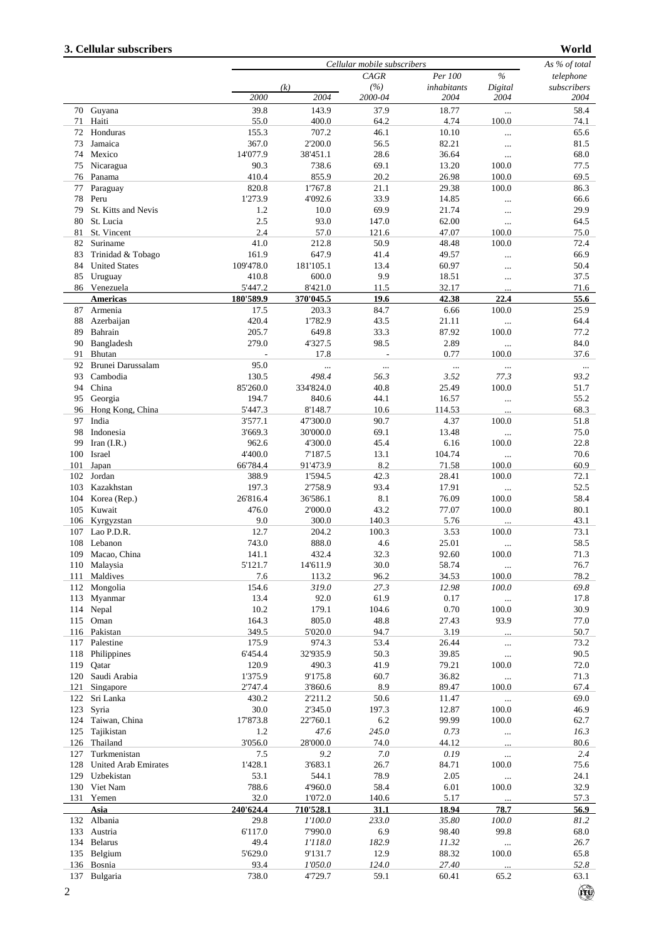$\bigcircled{\hspace{-2.75pt}}\bigcirc$ 

|     |                      |           |           | Cellular mobile subscribers |             |               | As % of total |
|-----|----------------------|-----------|-----------|-----------------------------|-------------|---------------|---------------|
|     |                      |           |           | <b>CAGR</b>                 | Per 100     | $\frac{0}{0}$ | telephone     |
|     |                      |           | (k)       | (%)                         | inhabitants | Digital       | subscribers   |
|     |                      | 2000      | 2004      | 2000-04                     | 2004        | 2004          | 2004          |
|     | 70 Guyana            | 39.8      | 143.9     | 37.9                        | 18.77       |               | 58.4          |
| 71  | Haiti                | 55.0      | 400.0     | 64.2                        | 4.74        | 100.0         | 74.1          |
| 72  | Honduras             | 155.3     | 707.2     | 46.1                        | 10.10       |               | 65.6          |
| 73  | Jamaica              | 367.0     | 2'200.0   | 56.5                        | 82.21       |               | 81.5          |
| 74  | Mexico               | 14'077.9  | 38'451.1  | 28.6                        | 36.64       | $\ddotsc$     | 68.0          |
|     |                      |           |           |                             |             | $\ldots$      |               |
| 75  | Nicaragua            | 90.3      | 738.6     | 69.1                        | 13.20       | 100.0         | 77.5          |
| 76  | Panama               | 410.4     | 855.9     | 20.2                        | 26.98       | 100.0         | 69.5          |
| 77  | Paraguay             | 820.8     | 1'767.8   | 21.1                        | 29.38       | 100.0         | 86.3          |
| 78  | Peru                 | 1'273.9   | 4'092.6   | 33.9                        | 14.85       |               | 66.6          |
| 79  | St. Kitts and Nevis  | 1.2       | 10.0      | 69.9                        | 21.74       |               | 29.9          |
| 80  | St. Lucia            | 2.5       | 93.0      | 147.0                       | 62.00       | $\cdots$      | 64.5          |
| 81  | St. Vincent          | 2.4       | 57.0      | 121.6                       | 47.07       | 100.0         | 75.0          |
| 82  | Suriname             | 41.0      | 212.8     | 50.9                        | 48.48       | 100.0         | 72.4          |
| 83  | Trinidad & Tobago    | 161.9     | 647.9     | 41.4                        | 49.57       |               | 66.9          |
| 84  | <b>United States</b> | 109'478.0 | 181'105.1 | 13.4                        | 60.97       |               | 50.4          |
| 85  | Uruguay              | 410.8     | 600.0     | 9.9                         | 18.51       |               | 37.5          |
|     | 86 Venezuela         | 5'447.2   | 8'421.0   | 11.5                        | 32.17       |               | 71.6          |
|     | <b>Americas</b>      | 180'589.9 | 370'045.5 | 19.6                        | 42.38       | 22.4          | 55.6          |
| 87  | Armenia              | 17.5      | 203.3     | 84.7                        | 6.66        | 100.0         | 25.9          |
| 88  | Azerbaijan           | 420.4     | 1'782.9   | 43.5                        | 21.11       |               | 64.4          |
|     |                      |           |           |                             |             |               |               |
| 89  | Bahrain              | 205.7     | 649.8     | 33.3                        | 87.92       | 100.0         | 77.2          |
| 90  | Bangladesh           | 279.0     | 4'327.5   | 98.5                        | 2.89        | $\ldots$      | $84.0\,$      |
| 91  | Bhutan               |           | 17.8      | L,                          | 0.77        | 100.0         | 37.6          |
| 92  | Brunei Darussalam    | 95.0      |           |                             | $\ddotsc$   | $\ldots$      | $\ldots$      |
| 93  | Cambodia             | 130.5     | 498.4     | 56.3                        | 3.52        | 77.3          | 93.2          |
| 94  | China                | 85'260.0  | 334'824.0 | 40.8                        | 25.49       | 100.0         | 51.7          |
| 95  | Georgia              | 194.7     | 840.6     | 44.1                        | 16.57       | $\cdots$      | 55.2          |
| 96  | Hong Kong, China     | 5'447.3   | 8'148.7   | 10.6                        | 114.53      |               | 68.3          |
| 97  | India                | 3'577.1   | 47'300.0  | 90.7                        | 4.37        | 100.0         | 51.8          |
| 98  | Indonesia            | 3'669.3   | 30'000.0  | 69.1                        | 13.48       |               | 75.0          |
| 99  | Iran $(I.R.)$        | 962.6     | 4'300.0   | 45.4                        | 6.16        | 100.0         | 22.8          |
| 100 | Israel               | 4'400.0   | 7'187.5   | 13.1                        | 104.74      |               | 70.6          |
|     |                      |           |           |                             |             | $\ldots$      |               |
| 101 | Japan                | 66'784.4  | 91'473.9  | 8.2                         | 71.58       | 100.0         | 60.9          |
| 102 | Jordan               | 388.9     | 1'594.5   | 42.3                        | 28.41       | 100.0         | 72.1          |
| 103 | Kazakhstan           | 197.3     | 2'758.9   | 93.4                        | 17.91       | $\cdots$      | 52.5          |
| 104 | Korea (Rep.)         | 26'816.4  | 36'586.1  | 8.1                         | 76.09       | 100.0         | 58.4          |
| 105 | Kuwait               | 476.0     | 2'000.0   | 43.2                        | 77.07       | 100.0         | 80.1          |
| 106 | Kyrgyzstan           | 9.0       | 300.0     | 140.3                       | 5.76        |               | 43.1          |
| 107 | Lao P.D.R.           | 12.7      | 204.2     | 100.3                       | 3.53        | 100.0         | 73.1          |
| 108 | Lebanon              | 743.0     | 888.0     | 4.6                         | 25.01       | $\cdots$      | 58.5          |
| 109 | Macao, China         | 141.1     | 432.4     | 32.3                        | 92.60       | 100.0         | 71.3          |
|     | 110 Malaysia         | 5'121.7   | 14'611.9  | 30.0                        | 58.74       | $\ldots$      | 76.7          |
| 111 | Maldives             | 7.6       | 113.2     | 96.2                        | 34.53       | 100.0         | 78.2          |
| 112 | Mongolia             | 154.6     | 319.0     | 27.3                        | 12.98       | 100.0         | 69.8          |
| 113 | Myanmar              | 13.4      | 92.0      | 61.9                        | 0.17        |               | 17.8          |
| 114 |                      | 10.2      |           |                             |             | $\cdots$      |               |
|     | Nepal                |           | 179.1     | 104.6                       | 0.70        | 100.0         | 30.9          |
| 115 | Oman                 | 164.3     | 805.0     | 48.8                        | 27.43       | 93.9          | 77.0          |
|     | 116 Pakistan         | 349.5     | 5'020.0   | 94.7                        | 3.19        |               | 50.7          |
| 117 | Palestine            | 175.9     | 974.3     | 53.4                        | 26.44       |               | 73.2          |
| 118 | Philippines          | 6'454.4   | 32'935.9  | 50.3                        | 39.85       | $\ddotsc$     | 90.5          |
| 119 | Qatar                | 120.9     | 490.3     | 41.9                        | 79.21       | 100.0         | 72.0          |
| 120 | Saudi Arabia         | 1'375.9   | 9'175.8   | 60.7                        | 36.82       | $\ldots$      | 71.3          |
| 121 | Singapore            | 2'747.4   | 3'860.6   | 8.9                         | 89.47       | 100.0         | 67.4          |
| 122 | Sri Lanka            | 430.2     | 2'211.2   | 50.6                        | 11.47       | $\cdots$      | 69.0          |
| 123 | Syria                | 30.0      | 2'345.0   | 197.3                       | 12.87       | 100.0         | 46.9          |
| 124 | Taiwan, China        | 17'873.8  | 22'760.1  | 6.2                         | 99.99       | 100.0         | 62.7          |
| 125 | Tajikistan           | 1.2       | 47.6      | 245.0                       | 0.73        |               | 16.3          |
| 126 | Thailand             | 3'056.0   | 28'000.0  | 74.0                        | 44.12       |               | 80.6          |
| 127 | Turkmenistan         | 7.5       | 9.2       | 7.0                         | 0.19        |               | 2.4           |
|     |                      |           |           |                             |             |               |               |
| 128 | United Arab Emirates | 1'428.1   | 3'683.1   | 26.7                        | 84.71       | 100.0         | 75.6          |
| 129 | Uzbekistan           | 53.1      | 544.1     | 78.9                        | 2.05        | $\ddotsc$     | 24.1          |
| 130 | Viet Nam             | 788.6     | 4'960.0   | 58.4                        | 6.01        | 100.0         | 32.9          |
| 131 | Yemen                | 32.0      | 1'072.0   | 140.6                       | 5.17        |               | 57.3          |
|     | Asia                 | 240'624.4 | 710'528.1 | 31.1                        | 18.94       | 78.7          | 56.9          |
| 132 | Albania              | 29.8      | 1'100.0   | 233.0                       | 35.80       | 100.0         | 81.2          |
| 133 | Austria              | 6'117.0   | 7'990.0   | 6.9                         | 98.40       | 99.8          | 68.0          |
| 134 | <b>Belarus</b>       | 49.4      | 1'118.0   | 182.9                       | 11.32       | $\cdots$      | 26.7          |
| 135 | Belgium              | 5'629.0   | 9'131.7   | 12.9                        | 88.32       | 100.0         | 65.8          |
|     | 136 Bosnia           | 93.4      | 1'050.0   | 124.0                       | 27.40       |               | 52.8          |
|     | 137 Bulgaria         | 738.0     | 4'729.7   | 59.1                        | 60.41       | 65.2          | 63.1          |
|     |                      |           |           |                             |             |               |               |